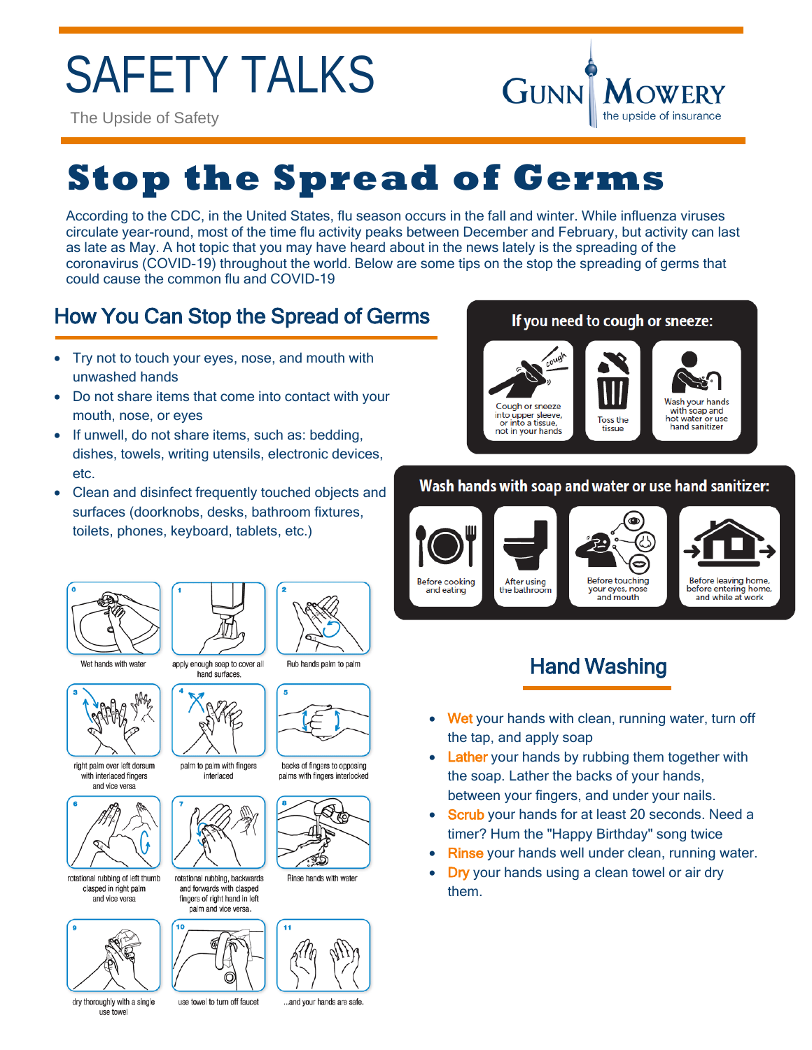# SAFETY TALKS

The Upside of Safety



## **Stop the Spread of Germs**

According to the CDC, in the United States, flu season occurs in the fall and winter. While influenza viruses circulate year-round, most of the time flu activity peaks between December and February, but activity can last as late as May. A hot topic that you may have heard about in the news lately is the spreading of the coronavirus (COVID-19) throughout the world. Below are some tips on the stop the spreading of germs that could cause the common flu and COVID-19

## How You Can Stop the Spread of Germs

- Try not to touch your eyes, nose, and mouth with unwashed hands
- Do not share items that come into contact with your mouth, nose, or eyes
- If unwell, do not share items, such as: bedding, dishes, towels, writing utensils, electronic devices, etc.
- Clean and disinfect frequently touched objects and surfaces (doorknobs, desks, bathroom fixtures, toilets, phones, keyboard, tablets, etc.)







Wet hands with water



right palm over left dorsum with interlaced fingers and vice versa



rotational rubbing of left thumb clasped in right palm and vice versa



dry thoroughly with a single use towe



palm to palm with fingers interlaced



and forwards with clasped fingers of right hand in left palm and vice versa



use towel to turn off faucet

Rub hands palm to palm



backs of fingers to opposing nalms with fingers interlocked



Rinse hands with water



...and your hands are safe.

#### If you need to cough or sneeze: Wash your hands Cough or sneeze with soap and into upper sleeve. **Toss the** hot water or use or into a tissue hand sanitizer not in your hands eupait

### Wash hands with soap and water or use hand sanitizer:



## Hand Washing

- Wet your hands with clean, running water, turn off the tap, and apply soap
- **Lather** your hands by rubbing them together with the soap. Lather the backs of your hands, between your fingers, and under your nails.
- Scrub your hands for at least 20 seconds. Need a timer? Hum the "Happy Birthday" song twice
- Rinse your hands well under clean, running water.
- Dry your hands using a clean towel or air dry them.